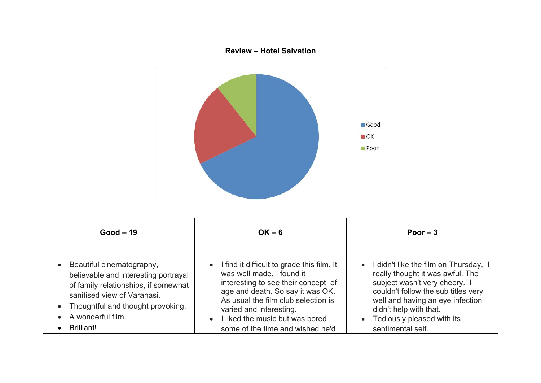## **Review – Hotel Salvation**



| $Good - 19$                                                                                                                                                                                                               | $OK - 6$                                                                                                                                                                                                                                                                                                   | Poor $-3$                                                                                                                                                                                                                                                              |
|---------------------------------------------------------------------------------------------------------------------------------------------------------------------------------------------------------------------------|------------------------------------------------------------------------------------------------------------------------------------------------------------------------------------------------------------------------------------------------------------------------------------------------------------|------------------------------------------------------------------------------------------------------------------------------------------------------------------------------------------------------------------------------------------------------------------------|
| Beautiful cinematography,<br>believable and interesting portrayal<br>of family relationships, if somewhat<br>sanitised view of Varanasi.<br>• Thoughtful and thought provoking.<br>A wonderful film.<br><b>Brilliant!</b> | • I find it difficult to grade this film. It<br>was well made, I found it<br>interesting to see their concept of<br>age and death. So say it was OK.<br>As usual the film club selection is<br>varied and interesting.<br>I liked the music but was bored<br>$\bullet$<br>some of the time and wished he'd | • I didn't like the film on Thursday, I<br>really thought it was awful. The<br>subject wasn't very cheery. I<br>couldn't follow the sub titles very<br>well and having an eye infection<br>didn't help with that.<br>• Tediously pleased with its<br>sentimental self. |